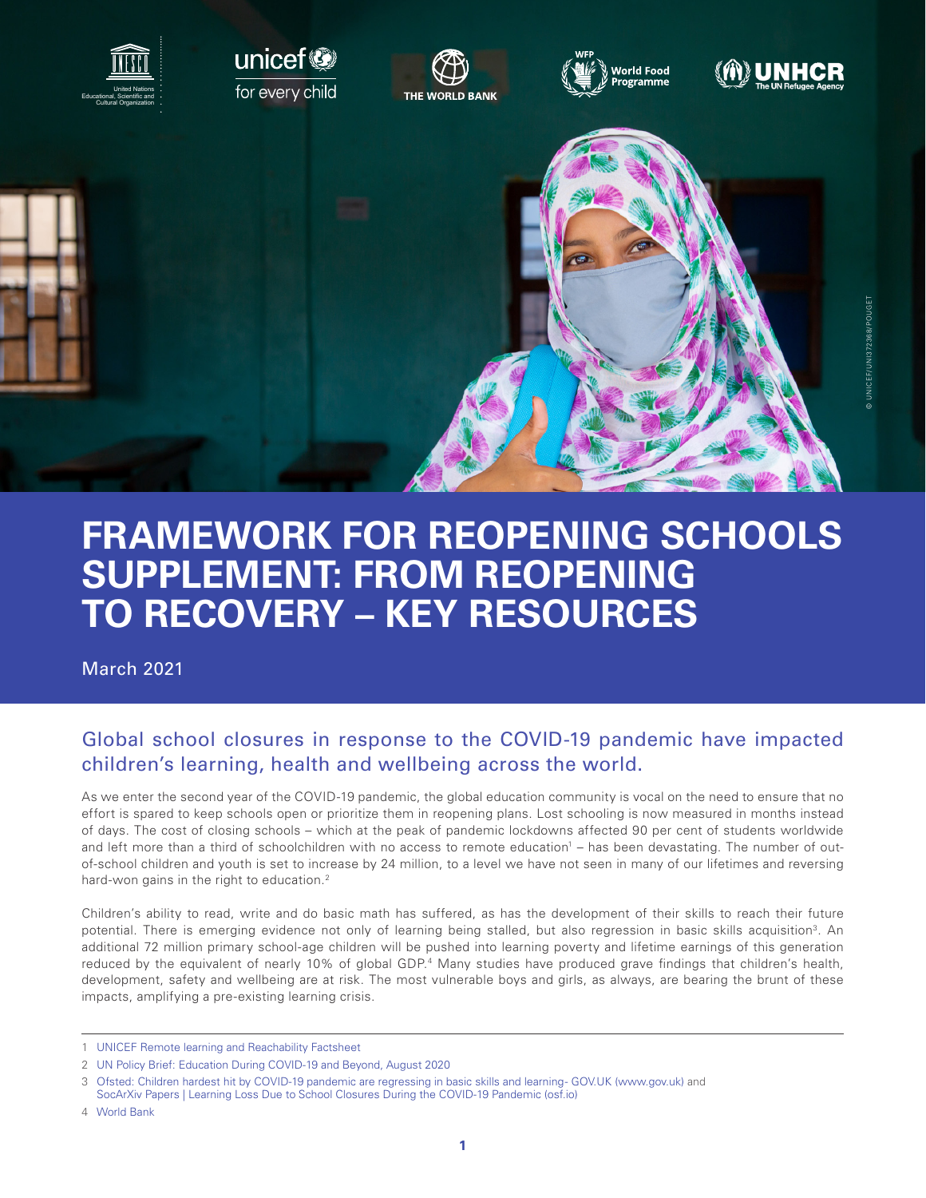

# **FRAMEWORK FOR REOPENING SCHOOLS SUPPLEMENT: FROM REOPENING TO RECOVERY – KEY RESOURCES**

March 2021

### Global school closures in response to the COVID-19 pandemic have impacted children's learning, health and wellbeing across the world.

As we enter the second year of the COVID-19 pandemic, the global education community is vocal on the need to ensure that no effort is spared to keep schools open or prioritize them in reopening plans. Lost schooling is now measured in months instead of days. The cost of closing schools – which at the peak of pandemic lockdowns affected 90 per cent of students worldwide and left more than a third of schoolchildren with no access to remote education<sup>1</sup> – has been devastating. The number of outof-school children and youth is set to increase by 24 million, to a level we have not seen in many of our lifetimes and reversing hard-won gains in the right to education.<sup>2</sup>

Children's ability to read, write and do basic math has suffered, as has the development of their skills to reach their future potential. There is emerging evidence not only of learning being stalled, but also regression in basic skills acquisition<sup>3</sup>. An additional 72 million primary school-age children will be pushed into learning poverty and lifetime earnings of this generation reduced by the equivalent of nearly 10% of global GDP.<sup>4</sup> Many studies have produced grave findings that children's health, development, safety and wellbeing are at risk. The most vulnerable boys and girls, as always, are bearing the brunt of these impacts, amplifying a pre-existing learning crisis.

<sup>1</sup> [UNICEF Remote learning and Reachability Factsheet](https://data.unicef.org/resources/remote-learning-reachability-factsheet/)

<sup>2</sup> [UN Policy Brief: Education During COVID-19 and Beyond, August 2020](https://www.un.org/development/desa/dspd/wp-content/uploads/sites/22/2020/08/sg_policy_brief_covid-19_and_education_august_2020.pdf)

<sup>3</sup> [Ofsted: Children hardest hit by COVID-19 pandemic are regressing in basic skills and learning - GOV.UK \(www.gov.uk\)](https://www.gov.uk/government/news/ofsted-children-hardest-hit-by-covid-19-pandemic-are-regressing-in-basic-skills-and-learning) and [SocArXiv Papers | Learning Loss Due to School Closures During the COVID-19 Pandemic \(osf.io\)](https://osf.io/preprints/socarxiv/ve4z7/)

<sup>4</sup> [World Bank](https://www.worldbank.org/en/news/press-release/2020/12/02/pandemic-threatens-to-push-72-million-more-children-into-learning-poverty-world-bank-outlines-new-vision-to-ensure-that-every-child-learns-everywhere)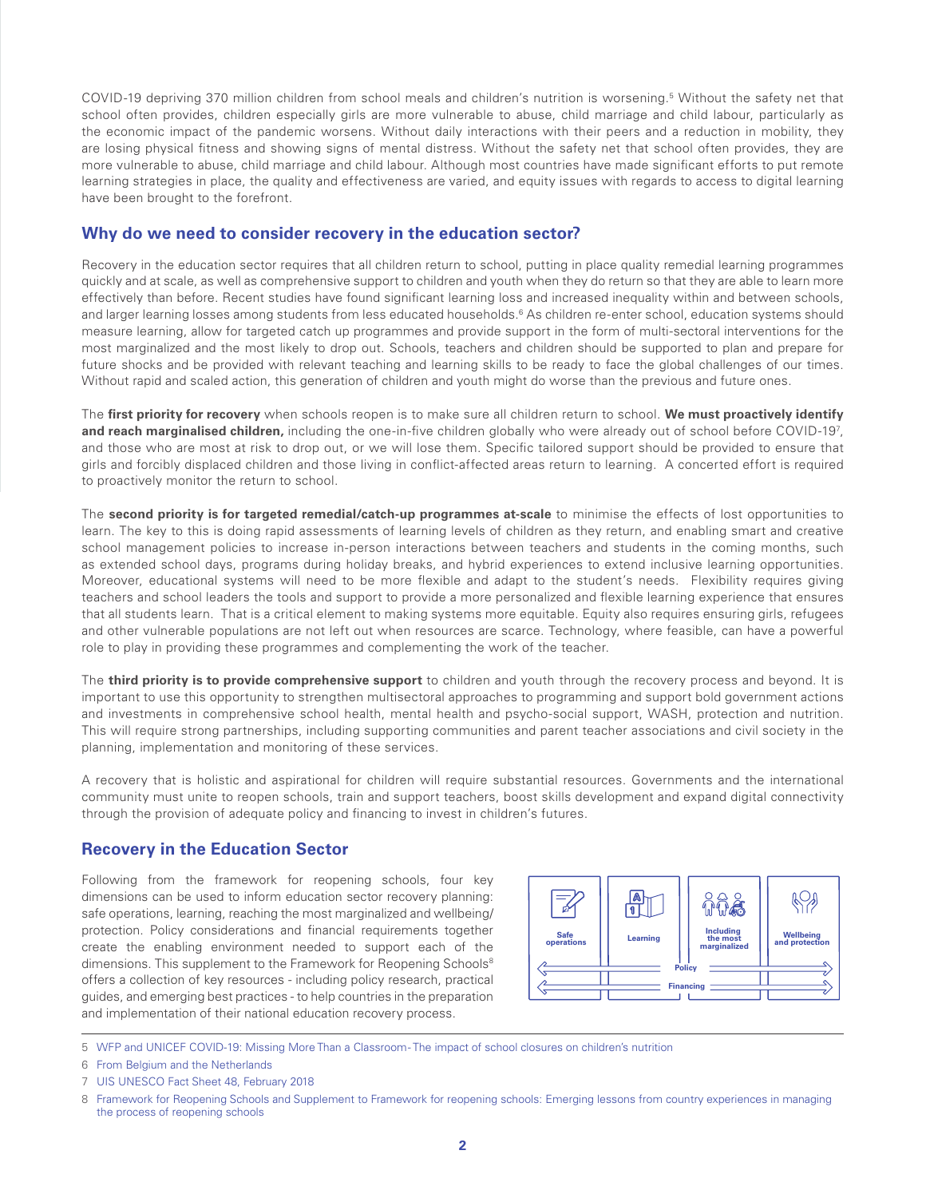COVID-19 depriving 370 million children from school meals and children's nutrition is worsening.5 Without the safety net that school often provides, children especially girls are more vulnerable to abuse, child marriage and child labour, particularly as the economic impact of the pandemic worsens. Without daily interactions with their peers and a reduction in mobility, they are losing physical fitness and showing signs of mental distress. Without the safety net that school often provides, they are more vulnerable to abuse, child marriage and child labour. Although most countries have made significant efforts to put remote learning strategies in place, the quality and effectiveness are varied, and equity issues with regards to access to digital learning have been brought to the forefront.

#### **Why do we need to consider recovery in the education sector?**

Recovery in the education sector requires that all children return to school, putting in place quality remedial learning programmes quickly and at scale, as well as comprehensive support to children and youth when they do return so that they are able to learn more effectively than before. Recent studies have found significant learning loss and increased inequality within and between schools, and larger learning losses among students from less educated households.<sup>6</sup> As children re-enter school, education systems should measure learning, allow for targeted catch up programmes and provide support in the form of multi-sectoral interventions for the most marginalized and the most likely to drop out. Schools, teachers and children should be supported to plan and prepare for future shocks and be provided with relevant teaching and learning skills to be ready to face the global challenges of our times. Without rapid and scaled action, this generation of children and youth might do worse than the previous and future ones.

The **first priority for recovery** when schools reopen is to make sure all children return to school. **We must proactively identify and reach marginalised children,** including the one-in-five children globally who were already out of school before COVID-197 , and those who are most at risk to drop out, or we will lose them. Specific tailored support should be provided to ensure that girls and forcibly displaced children and those living in conflict-affected areas return to learning. A concerted effort is required to proactively monitor the return to school.

The **second priority is for targeted remedial/catch-up programmes at-scale** to minimise the effects of lost opportunities to learn. The key to this is doing rapid assessments of learning levels of children as they return, and enabling smart and creative school management policies to increase in-person interactions between teachers and students in the coming months, such as extended school days, programs during holiday breaks, and hybrid experiences to extend inclusive learning opportunities. Moreover, educational systems will need to be more flexible and adapt to the student's needs. Flexibility requires giving teachers and school leaders the tools and support to provide a more personalized and flexible learning experience that ensures that all students learn. That is a critical element to making systems more equitable. Equity also requires ensuring girls, refugees and other vulnerable populations are not left out when resources are scarce. Technology, where feasible, can have a powerful role to play in providing these programmes and complementing the work of the teacher.

The **third priority is to provide comprehensive support** to children and youth through the recovery process and beyond. It is important to use this opportunity to strengthen multisectoral approaches to programming and support bold government actions and investments in comprehensive school health, mental health and psycho-social support, WASH, protection and nutrition. This will require strong partnerships, including supporting communities and parent teacher associations and civil society in the planning, implementation and monitoring of these services.

A recovery that is holistic and aspirational for children will require substantial resources. Governments and the international community must unite to reopen schools, train and support teachers, boost skills development and expand digital connectivity through the provision of adequate policy and financing to invest in children's futures.

### **Recovery in the Education Sector**

Following from the framework for reopening schools, four key dimensions can be used to inform education sector recovery planning: safe operations, learning, reaching the most marginalized and wellbeing/ protection. Policy considerations and financial requirements together create the enabling environment needed to support each of the dimensions. This supplement to the Framework for Reopening Schools<sup>8</sup> offers a collection of key resources - including policy research, practical guides, and emerging best practices - to help countries in the preparation and implementation of their national education recovery process.



5 [WFP and UNICEF COVID-19: Missing More Than a Classroom - The impact of school closures on children's nutrition](https://www.unicef-irc.org/publications/1176-covid-19-missing-more-than-a-classroom-the-impact-of-school-closures-on-childrens-nutrition.html)

6 [From Belgium and the Netherlands](https://osf.io/preprints/socarxiv/ve4z7/)

7 [UIS UNESCO Fact Sheet 48, February 2018](http://uis.unesco.org/sites/default/files/documents/fs48-one-five-children-adolescents-youth-out-school-2018-en.pdf)

<sup>8</sup> [Framework for Reopening Schools and Supplement to Framework for reopening schools: Emerging lessons from country experiences in managing](https://unesdoc.unesco.org/ark:/48223/pf0000374312)  [the process of reopening schools](https://unesdoc.unesco.org/ark:/48223/pf0000374312)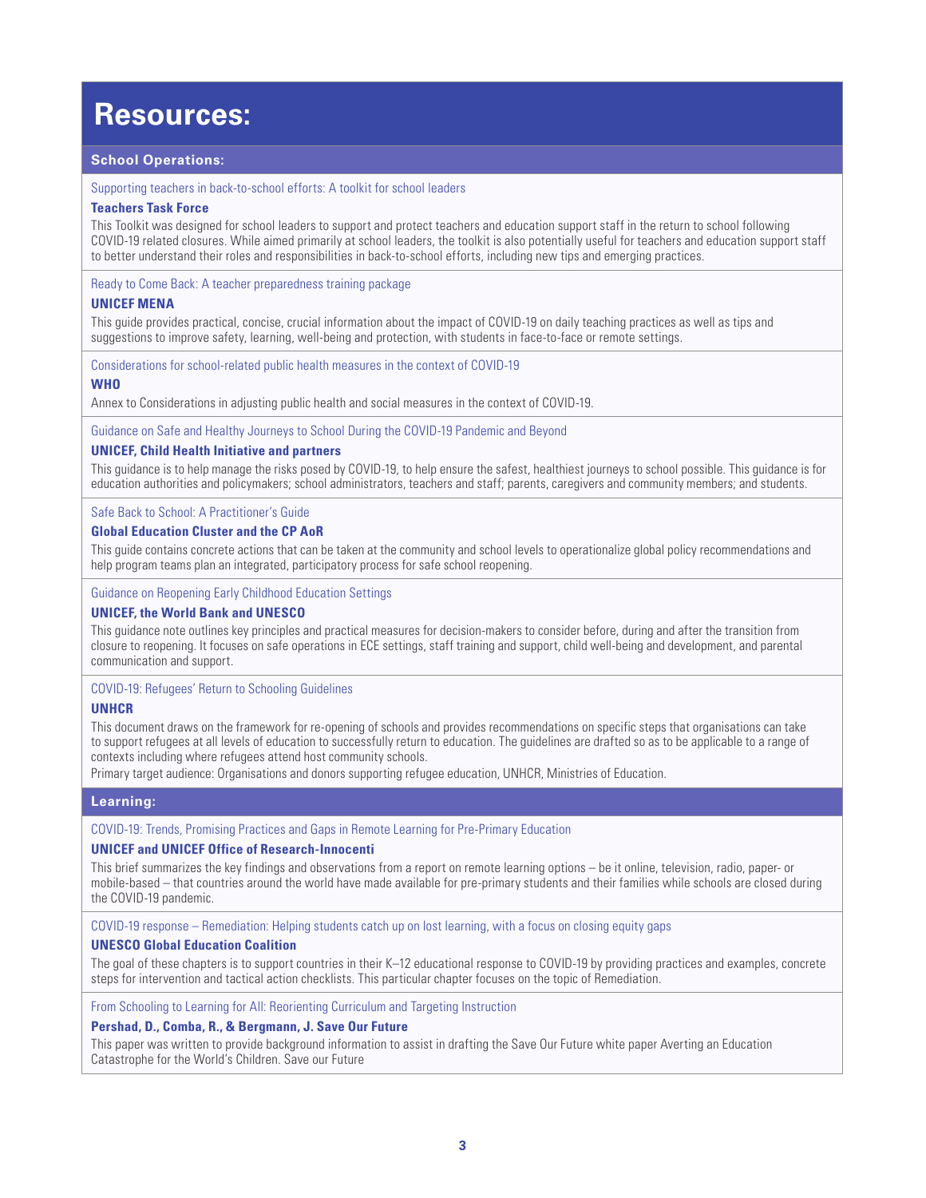## **Resources:**

#### **School Operations:**

#### [Supporting teachers in back-to-school efforts: A toolkit for school leaders](https://teachertaskforce.org/knowledge-hub/supporting-teachers-back-school-efforts-toolkit-school-leaders)

#### **Teachers Task Force**

This Toolkit was designed for school leaders to support and protect teachers and education support staff in the return to school following COVID-19 related closures. While aimed primarily at school leaders, the toolkit is also potentially useful for teachers and education support staff to better understand their roles and responsibilities in back-to-school efforts, including new tips and emerging practices.

[Ready to Come Back: A teacher preparedness training package](https://www.unicef.org/mena/reports/ready-come-back)

#### **UNICEF MENA**

This guide provides practical, concise, crucial information about the impact of COVID-19 on daily teaching practices as well as tips and suggestions to improve safety, learning, well-being and protection, with students in face-to-face or remote settings.

[Considerations for school-related public health measures in the context of COVID-19](https://www.who.int/publications/i/item/considerations-for-school-related-public-health-measures-in-the-context-of-covid-19)

#### **WHO**

Annex to Considerations in adjusting public health and social measures in the context of COVID-19.

[Guidance on Safe and Healthy Journeys to School During the COVID-19 Pandemic and Beyond](https://aa9276f9-f487-45a2-a3e7-8f4a61a0745d.usrfiles.com/ugd/aa9276_cca4268cbde3421f971e94778e673e2f.pdf)

#### **UNICEF, Child Health Initiative and partners**

This guidance is to help manage the risks posed by COVID-19, to help ensure the safest, healthiest journeys to school possible. This guidance is for education authorities and policymakers; school administrators, teachers and staff; parents, caregivers and community members; and students.

#### [Safe Back to School: A Practitioner's Guide](https://www.corecommitments.unicef.org/kp/safe-back-to-school--a-practitioner%E2%80%99s-guide.url)

#### **Global Education Cluster and the CP AoR**

This guide contains concrete actions that can be taken at the community and school levels to operationalize global policy recommendations and help program teams plan an integrated, participatory process for safe school reopening.

#### [Guidance on Reopening Early Childhood Education Settings](https://www.unicef.org/documents/guidance-on-reopening-early-childhood-education-settings)

#### **UNICEF, the World Bank and UNESCO**

This guidance note outlines key principles and practical measures for decision-makers to consider before, during and after the transition from closure to reopening. It focuses on safe operations in ECE settings, staff training and support, child well-being and development, and parental communication and support.

#### [COVID-19: Refugees' Return to Schooling Guidelines](https://www.unhcr.org/5fdb7e724/covid-19-refugees-return-schooling-guidelines-2020)

#### **UNHCR**

This document draws on the framework for re-opening of schools and provides recommendations on specific steps that organisations can take to support refugees at all levels of education to successfully return to education. The guidelines are drafted so as to be applicable to a range of contexts including where refugees attend host community schools.

Primary target audience: Organisations and donors supporting refugee education, UNHCR, Ministries of Education.

#### **Learning:**

#### [COVID-19: Trends, Promising Practices and Gaps in Remote Learning for Pre-Primary Education](https://www.unicef-irc.org/publications/1167-covid-19-trends-promising-practices-and-gaps-in-remote-learning-for-pre-primary-education.html)

#### **UNICEF and UNICEF Office of Research-Innocenti**

This brief summarizes the key findings and observations from a report on remote learning options – be it online, television, radio, paper- or mobile-based – that countries around the world have made available for pre-primary students and their families while schools are closed during the COVID-19 pandemic.

[COVID-19 response – Remediation: Helping students catch up on lost learning, with a focus on closing equity gaps](https://en.unesco.org/sites/default/files/unesco-covid-19-response-toolkit-remediation.pdf)

#### **UNESCO Global Education Coalition**

The goal of these chapters is to support countries in their K–12 educational response to COVID-19 by providing practices and examples, concrete steps for intervention and tactical action checklists. This particular chapter focuses on the topic of Remediation.

[From Schooling to Learning for All: Reorienting Curriculum and Targeting Instruction](https://saveourfuture.world/wp-content/uploads/2021/03/From-Schooling-to-Learning-for-All-Reorienting-Curriculum-and-Targeting-Instruction_SOF_BP2.pdf)

#### **Pershad, D., Comba, R., & Bergmann, J. Save Our Future**

This paper was written to provide background information to assist in drafting the Save Our Future white paper Averting an Education Catastrophe for the World's Children. Save our Future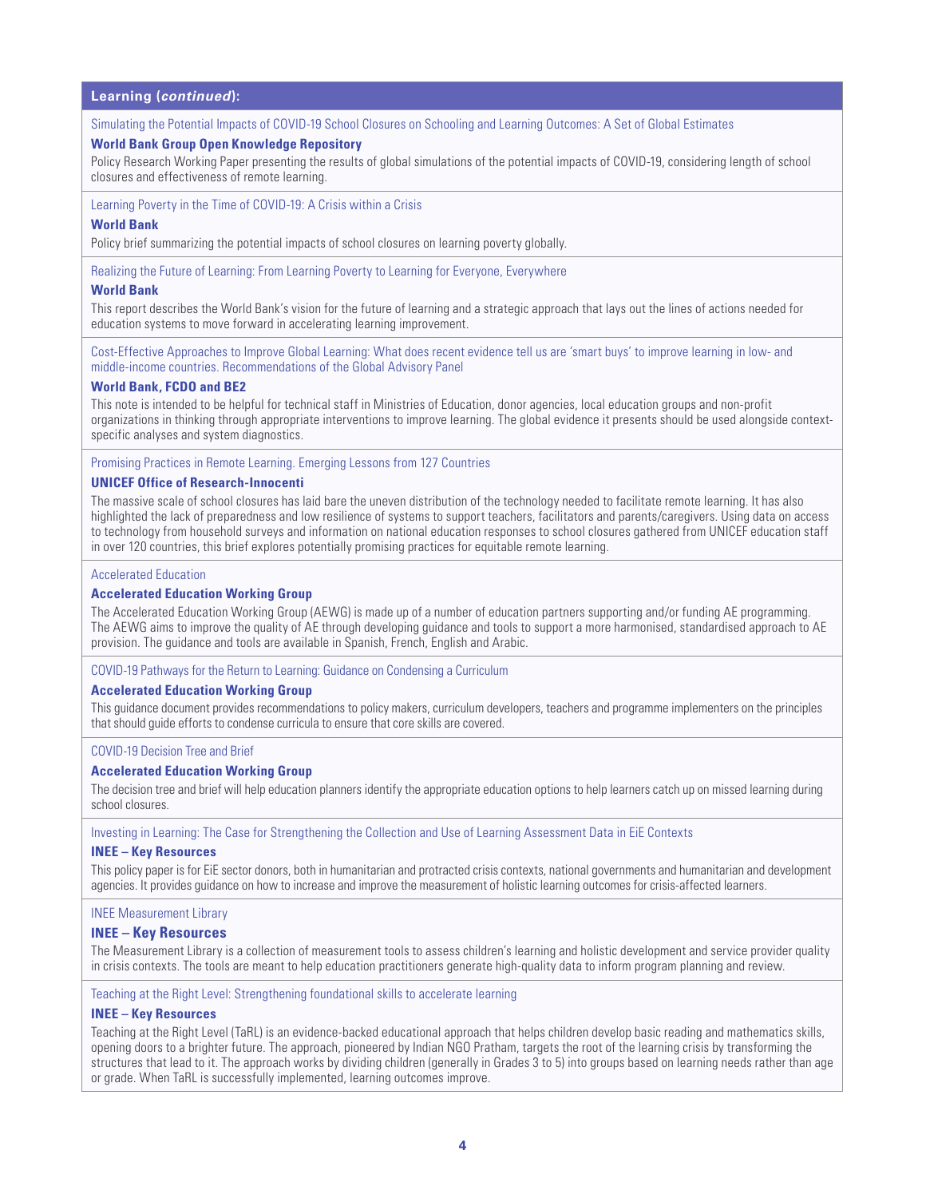#### **Learning (***continued***):**

[Simulating the Potential Impacts of COVID-19 School Closures on Schooling and Learning Outcomes: A Set of Global Estimates](https://openknowledge.worldbank.org/handle/10986/33945)

#### **World Bank Group Open Knowledge Repository**

Policy Research Working Paper presenting the results of global simulations of the potential impacts of COVID-19, considering length of school closures and effectiveness of remote learning.

[Learning Poverty in the Time of COVID-19: A Crisis within a Crisis](https://openknowledge.worldbank.org/bitstream/handle/10986/34850/Learning-Poverty-in-the-Time-of-COVID-19-A-Crisis-Within-a-Crisis.pdf)

#### **World Bank**

Policy brief summarizing the potential impacts of school closures on learning poverty globally.

[Realizing the Future of Learning: From Learning Poverty to Learning for Everyone, Everywhere](https://documents.worldbank.org/en/publication/documents-reports/documentdetail/250981606928190510/realizing-the-future-of-learning-from-learning-poverty-to-learning-for-everyone-everywhere)

#### **World Bank**

This report describes the World Bank's vision for the future of learning and a strategic approach that lays out the lines of actions needed for education systems to move forward in accelerating learning improvement.

[Cost-Effective Approaches to Improve Global Learning: What does recent evidence tell us are 'smart buys' to improve learning in low- and](http://documents1.worldbank.org/curated/en/719211603835247448/pdf/Cost-Effective-Approaches-to-Improve-Global-Learning-What-Does-Recent-Evidence-Tell-Us-Are-Smart-Buys-for-Improving-Learning-in-Low-and-Middle-Income-Countries.pdf)  [middle-income countries. Recommendations of the Global Advisory Panel](http://documents1.worldbank.org/curated/en/719211603835247448/pdf/Cost-Effective-Approaches-to-Improve-Global-Learning-What-Does-Recent-Evidence-Tell-Us-Are-Smart-Buys-for-Improving-Learning-in-Low-and-Middle-Income-Countries.pdf)

#### **World Bank, FCDO and BE2**

This note is intended to be helpful for technical staff in Ministries of Education, donor agencies, local education groups and non-profit organizations in thinking through appropriate interventions to improve learning. The global evidence it presents should be used alongside contextspecific analyses and system diagnostics.

[Promising Practices in Remote Learning. Emerging Lessons from 127 Countries](https://www.unicef-irc.org/publications/1090-promising-practices-for-equitable-remote-learning-emerging-lessons-from-covid.html)

#### **UNICEF Office of Research-Innocenti**

The massive scale of school closures has laid bare the uneven distribution of the technology needed to facilitate remote learning. It has also highlighted the lack of preparedness and low resilience of systems to support teachers, facilitators and parents/caregivers. Using data on access to technology from household surveys and information on national education responses to school closures gathered from UNICEF education staff in over 120 countries, this brief explores potentially promising practices for equitable remote learning.

#### [Accelerated Education](https://inee.org/collections/accelerated-education)

#### **Accelerated Education Working Group**

The Accelerated Education Working Group (AEWG) is made up of a number of education partners supporting and/or funding AE programming. The AEWG aims to improve the quality of AE through developing quidance and tools to support a more harmonised, standardised approach to AE provision. The guidance and tools are available in Spanish, French, English and Arabic.

[COVID-19 Pathways for the Return to Learning: Guidance on Condensing a Curriculum](https://inee.org/system/files/resources/AEWG_Guidance on Condensing a Curriculum-Considerations for Practitioners-screen_2.pdf)

#### **Accelerated Education Working Group**

This guidance document provides recommendations to policy makers, curriculum developers, teachers and programme implementers on the principles that should guide efforts to condense curricula to ensure that core skills are covered.

[COVID-19 Decision Tree and Brief](https://inee.org/system/files/resources/AEWG_COVID19_Pathways%20for%20the%20Return%20to%20Learning-screen%20%281%29.pdf)

#### **Accelerated Education Working Group**

The decision tree and brief will help education planners identify the appropriate education options to help learners catch up on missed learning during school closures.

[Investing in Learning: The Case for Strengthening the Collection and Use of Learning Assessment Data in EiE Contexts](https://inee.org/resources/investing-learning-case-strengthening-collection-and-use-learning-assessment-data-eie)

#### **INEE – Key Resources**

This policy paper is for EiE sector donors, both in humanitarian and protracted crisis contexts, national governments and humanitarian and development agencies. It provides guidance on how to increase and improve the measurement of holistic learning outcomes for crisis-affected learners.

#### [INEE Measurement Library](https://inee.org/measurement-library)

#### **INEE – Key Resources**

The Measurement Library is a collection of measurement tools to assess children's learning and holistic development and service provider quality in crisis contexts. The tools are meant to help education practitioners generate high-quality data to inform program planning and review.

[Teaching at the Right Level: Strengthening foundational skills to accelerate learning](https://www.teachingattherightlevel.org/)

#### **INEE – Key Resources**

Teaching at the Right Level (TaRL) is an evidence-backed educational approach that helps children develop basic reading and mathematics skills, opening doors to a brighter future. The approach, pioneered by Indian NGO Pratham, targets the root of the learning crisis by transforming the structures that lead to it. The approach works by dividing children (generally in Grades 3 to 5) into groups based on learning needs rather than age or grade. When TaRL is successfully implemented, learning outcomes improve.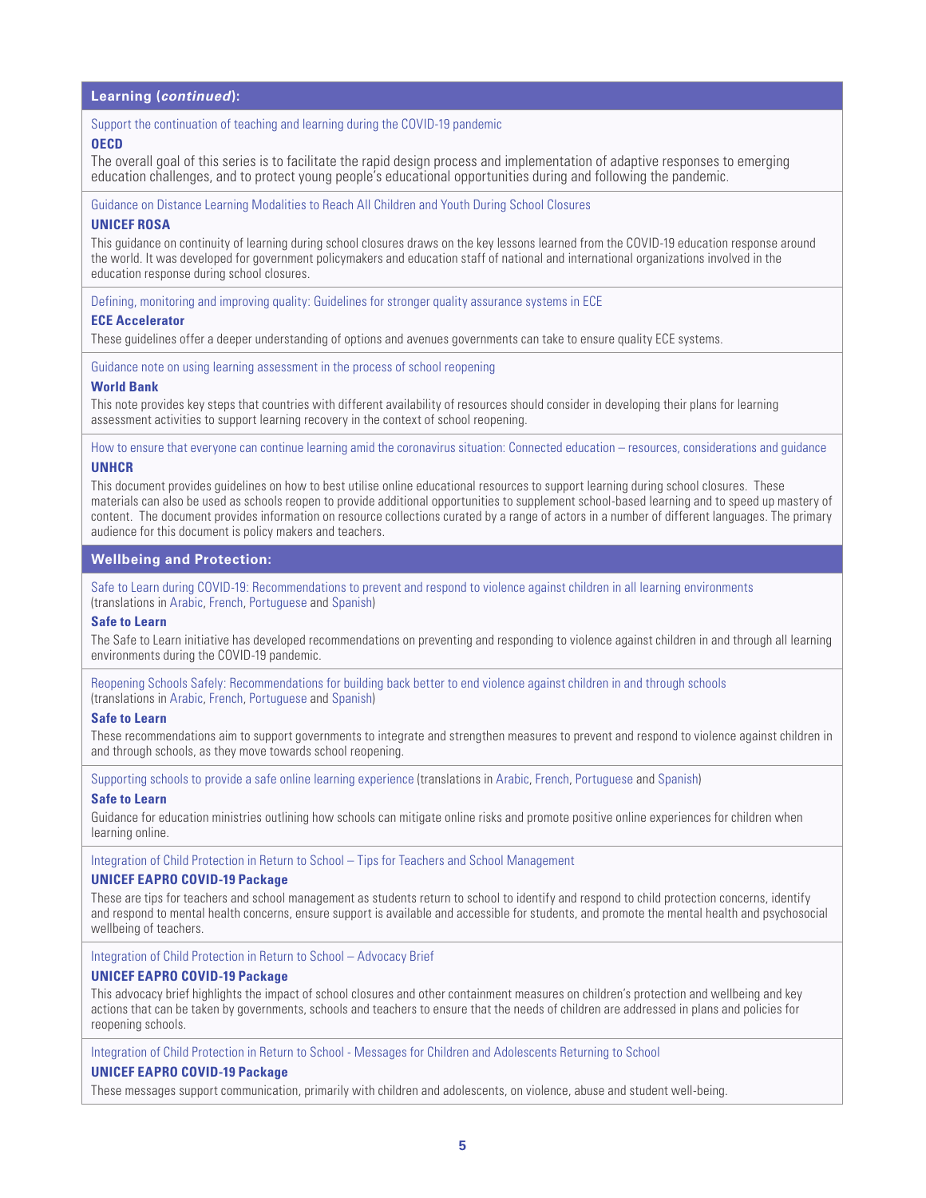#### **Learning (***continued***):**

#### [Support the continuation of teaching and learning during the COVID-19 pandemic](https://www.oecd.org/education/Supporting-the-continuation-of-teaching-and-learning-during-the-COVID-19-pandemic.pdf)

#### **OECD**

The overall goal of this series is to facilitate the rapid design process and implementation of adaptive responses to emerging education challenges, and to protect young people's educational opportunities during and following the pandemic.

[Guidance on Distance Learning Modalities to Reach All Children and Youth During School Closures](https://www.unicef.org/rosa/media/7996/file/Guidance%20Continuity%20of%20Learning%20during%20COVID-19%20-%20Reaching%20All%20Children_UNICEF%20ROSA.pdf)

#### **UNICEF ROSA**

This guidance on continuity of learning during school closures draws on the key lessons learned from the COVID-19 education response around the world. It was developed for government policymakers and education staff of national and international organizations involved in the education response during school closures.

[Defining, monitoring and improving quality: Guidelines for stronger quality assurance systems in ECE](https://www.ece-accelerator.org/resources/defining-monitoring-and-improving-quality-guidelines-stronger-quality-assurance-systems-early-childhood-education)

#### **ECE Accelerator**

These guidelines offer a deeper understanding of options and avenues governments can take to ensure quality ECE systems.

[Guidance note on using learning assessment in the process of school reopening](http://documents1.worldbank.org/curated/en/856951606239586214/pdf/Guidance-Note-on-Using-Learning-Assessment-in-the-Process-of-School-Reopening.pdf)

#### **World Bank**

This note provides key steps that countries with different availability of resources should consider in developing their plans for learning assessment activities to support learning recovery in the context of school reopening.

[How to ensure that everyone can continue learning amid the coronavirus situation: Connected education – resources, considerations and guidance](https://www.unhcr.org/5e787bea4) **UNHCR**

This document provides guidelines on how to best utilise online educational resources to support learning during school closures. These materials can also be used as schools reopen to provide additional opportunities to supplement school-based learning and to speed up mastery of content. The document provides information on resource collections curated by a range of actors in a number of different languages. The primary audience for this document is policy makers and teachers.

#### **Wellbeing and Protection:**

[Safe to Learn during COVID-19: Recommendations to prevent and respond to violence against children in all learning environments](https://www.globalpartnership.org/content/safe-learn-during-covid-19) (translations in [Arabic](https://www.end-violence.org/sites/default/files/paragraphs/download/STL%20COVID%2019%20response%20Key%20messages%20in%20Arabic.pdf), [French,](https://www.end-violence.org/sites/default/files/paragraphs/download/STL%20COVID%2019%20response%20Key%20messages%20French.pdf) [Portuguese](https://www.end-violence.org/sites/default/files/paragraphs/download/STL%20COVID%2019%20Recommendations%20Portuguese.pdf) and [Spanish](https://www.end-violence.org/sites/default/files/paragraphs/download/STL%20COVID%2019%20Recommendations%20Spanish.pdf))

#### **Safe to Learn**

The Safe to Learn initiative has developed recommendations on preventing and responding to violence against children in and through all learning environments during the COVID-19 pandemic.

[Reopening Schools Safely: Recommendations for building back better to end violence against children in and through schools](https://www.end-violence.org/sites/default/files/paragraphs/download/REOPENING%20SCHOOLS.pdf) (translations in [Arabic](https://www.end-violence.org/sites/default/files/paragraphs/download/STL%20back%20to%20school%20messages%20Arabic.pdf), [French,](https://www.end-violence.org/sites/default/files/paragraphs/download/STL%20back%20to%20school%20messages%20French.pdf) [Portuguese](https://www.end-violence.org/sites/default/files/paragraphs/download/STL%20back%20to%20school%20messages%20Portuguese.pdf) and [Spanish](https://www.end-violence.org/sites/default/files/paragraphs/download/STL%20back%20to%20school%20messages%20Spanish.pdf))

#### **Safe to Learn**

These recommendations aim to support governments to integrate and strengthen measures to prevent and respond to violence against children in and through schools, as they move towards school reopening.

[Supporting schools to provide a safe online learning experience](https://www.end-violence.org/articles/supporting-schools-provide-safe-online-learning-experience) (translations in [Arabic](https://www.end-violence.org/sites/default/files/paragraphs/download/STL%20online%20technical%20guidance%20Arabic.pdf), [French](https://www.end-violence.org/sites/default/files/paragraphs/download/STL%20online%20technical%20guidance%20French.pdf), [Portuguese](https://www.end-violence.org/sites/default/files/paragraphs/download/STL%20online%20technical%20guidance%20Portuguese.pdf) and [Spanish\)](https://www.end-violence.org/sites/default/files/paragraphs/download/STL%20online%20technical%20guidance%20Spanish.pdf)

#### **[Safe to Learn](https://www.end-violence.org/articles/supporting-schools-provide-safe-online-learning-experience)**

Guidance for education ministries outlining how schools can mitigate online risks and promote positive online experiences for children when learning online.

[Integration of Child Protection in Return to School – Tips for Teachers and School Management](https://www.end-violence.org/sites/default/files/2020-06/tips.pdf)

#### **UNICEF EAPRO COVID-19 Package**

These are tips for teachers and school management as students return to school to identify and respond to child protection concerns, identify and respond to mental health concerns, ensure support is available and accessible for students, and promote the mental health and psychosocial wellbeing of teachers.

[Integration of Child Protection in Return to School – Advocacy Brief](https://www.end-violence.org/sites/default/files/2020-06/tips.pdf)

#### **UNICEF EAPRO COVID-19 Package**

This advocacy brief highlights the impact of school closures and other containment measures on children's protection and wellbeing and key actions that can be taken by governments, schools and teachers to ensure that the needs of children are addressed in plans and policies for reopening schools.

[Integration of Child Protection in Return to School - Messages for Children and Adolescents Returning to School](https://www.end-violence.org/sites/default/files/2020-06/messages.pdf)

#### **UNICEF EAPRO COVID-19 Package**

These messages support communication, primarily with children and adolescents, on violence, abuse and student well-being.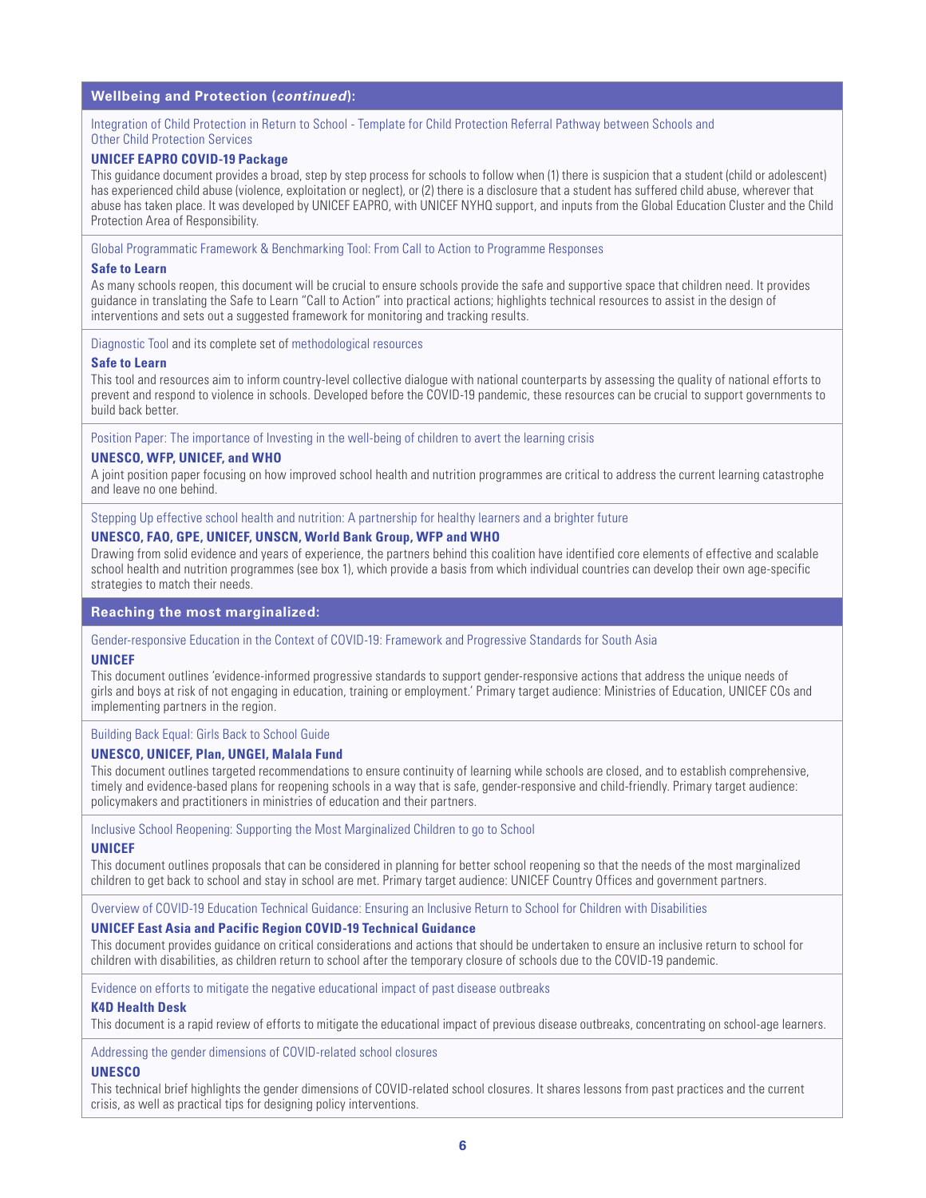#### **Wellbeing and Protection (***continued***):**

#### [Integration of Child Protection in Return to School - Template for Child Protection Referral Pathway between Schools and](https://www.end-violence.org/sites/default/files/2020-09/UNICEF%20EAPR%20Integration%20of%20Child%20Protection%20in%20Return%20to%20School%20-%20REFERRAL%20PATHWAY%20TEMPLATE.pdf)  [Other Child Protection Services](https://www.end-violence.org/sites/default/files/2020-09/UNICEF%20EAPR%20Integration%20of%20Child%20Protection%20in%20Return%20to%20School%20-%20REFERRAL%20PATHWAY%20TEMPLATE.pdf)

#### **UNICEF EAPRO COVID-19 Package**

This guidance document provides a broad, step by step process for schools to follow when (1) there is suspicion that a student (child or adolescent) has experienced child abuse (violence, exploitation or neglect), or (2) there is a disclosure that a student has suffered child abuse, wherever that abuse has taken place. It was developed by UNICEF EAPRO, with UNICEF NYHQ support, and inputs from the Global Education Cluster and the Child Protection Area of Responsibility.

[Global Programmatic Framework & Benchmarking Tool: From Call to Action to Programme Responses](https://www.end-violence.org/sites/default/files/paragraphs/download/STL%20Global%20Programmatic%20Framework_.pdf)

#### **Safe to Learn**

As many schools reopen, this document will be crucial to ensure schools provide the safe and supportive space that children need. It provides guidance in translating the Safe to Learn "Call to Action" into practical actions; highlights technical resources to assist in the design of interventions and sets out a suggested framework for monitoring and tracking results.

[Diagnostic Tool](https://www.end-violence.org/sites/default/files/paragraphs/download/Diagnostic%20tool%20September%202019FINAL.pdf) and its complete set of [methodological resources](https://www.end-violence.org/synthesis-report-stl)

#### **Safe to Learn**

This tool and resources aim to inform country-level collective dialogue with national counterparts by assessing the quality of national efforts to prevent and respond to violence in schools. Developed before the COVID-19 pandemic, these resources can be crucial to support governments to build back better.

[Position Paper: The importance of Investing in the well-being of children to avert the learning crisis](https://unesdoc.unesco.org/ark:/48223/pf0000374730)

#### **UNESCO, WFP, UNICEF, and WHO**

A joint position paper focusing on how improved school health and nutrition programmes are critical to address the current learning catastrophe and leave no one behind.

[Stepping Up effective school health and nutrition: A partnership for healthy learners and a brighter future](https://www.unicef.org/media/94001/file/Partnership-for-Stepping-up-effective-SHN.pdf.pdf)

#### **UNESCO, FAO, GPE, UNICEF, UNSCN, World Bank Group, WFP and WHO**

Drawing from solid evidence and years of experience, the partners behind this coalition have identified core elements of effective and scalable school health and nutrition programmes (see box 1), which provide a basis from which individual countries can develop their own age-specific strategies to match their needs.

#### **Reaching the most marginalized:**

#### [Gender-responsive Education in the Context of COVID-19: Framework and Progressive Standards for South Asia](https://www.unicef.org/rosa/documents/gender-responsive-education-context-covid-19)

#### **UNICEF**

This document outlines 'evidence-informed progressive standards to support gender-responsive actions that address the unique needs of girls and boys at risk of not engaging in education, training or employment.' Primary target audience: Ministries of Education, UNICEF COs and implementing partners in the region.

#### [Building Back Equal: Girls Back to School Guide](https://www.unicef.org/media/75471/file/Building-back-equal-Girls-back-to-school-guide-2020.pdf)

#### **UNESCO, UNICEF, Plan, UNGEI, Malala Fund**

This document outlines targeted recommendations to ensure continuity of learning while schools are closed, and to establish comprehensive, timely and evidence-based plans for reopening schools in a way that is safe, gender-responsive and child-friendly. Primary target audience: policymakers and practitioners in ministries of education and their partners.

[Inclusive School Reopening: Supporting the Most Marginalized Children to go to School](https://en.unesco.org/sites/default/files/inclusive_school_reopening_-_supporting_marginalised_children_during_school_re._.pdf)

#### **UNICEF**

This document outlines proposals that can be considered in planning for better school reopening so that the needs of the most marginalized children to get back to school and stay in school are met. Primary target audience: UNICEF Country Offices and government partners.

[Overview of COVID-19 Education Technical Guidance: Ensuring an Inclusive Return to School for Children with Disabilities](https://www.unicef.org/eap/media/7151/file)

#### **UNICEF East Asia and Pacific Region COVID-19 Technical Guidance**

This document provides guidance on critical considerations and actions that should be undertaken to ensure an inclusive return to school for children with disabilities, as children return to school after the temporary closure of schools due to the COVID-19 pandemic.

[Evidence on efforts to mitigate the negative educational impact of past disease outbreaks](https://reliefweb.int/sites/reliefweb.int/files/resources/793_mitigating_education_effects_of_disease_outbreaks.pdf)

#### **K4D Health Desk**

This document is a rapid review of efforts to mitigate the educational impact of previous disease outbreaks, concentrating on school-age learners.

[Addressing the gender dimensions of COVID-related school closures](https://unesdoc.unesco.org/ark:/48223/pf0000373379?posInSet=2&queryId=143d9066-2448-421b-92a3-5378f0cf84d7)

#### **UNESCO**

This technical brief highlights the gender dimensions of COVID-related school closures. It shares lessons from past practices and the current crisis, as well as practical tips for designing policy interventions.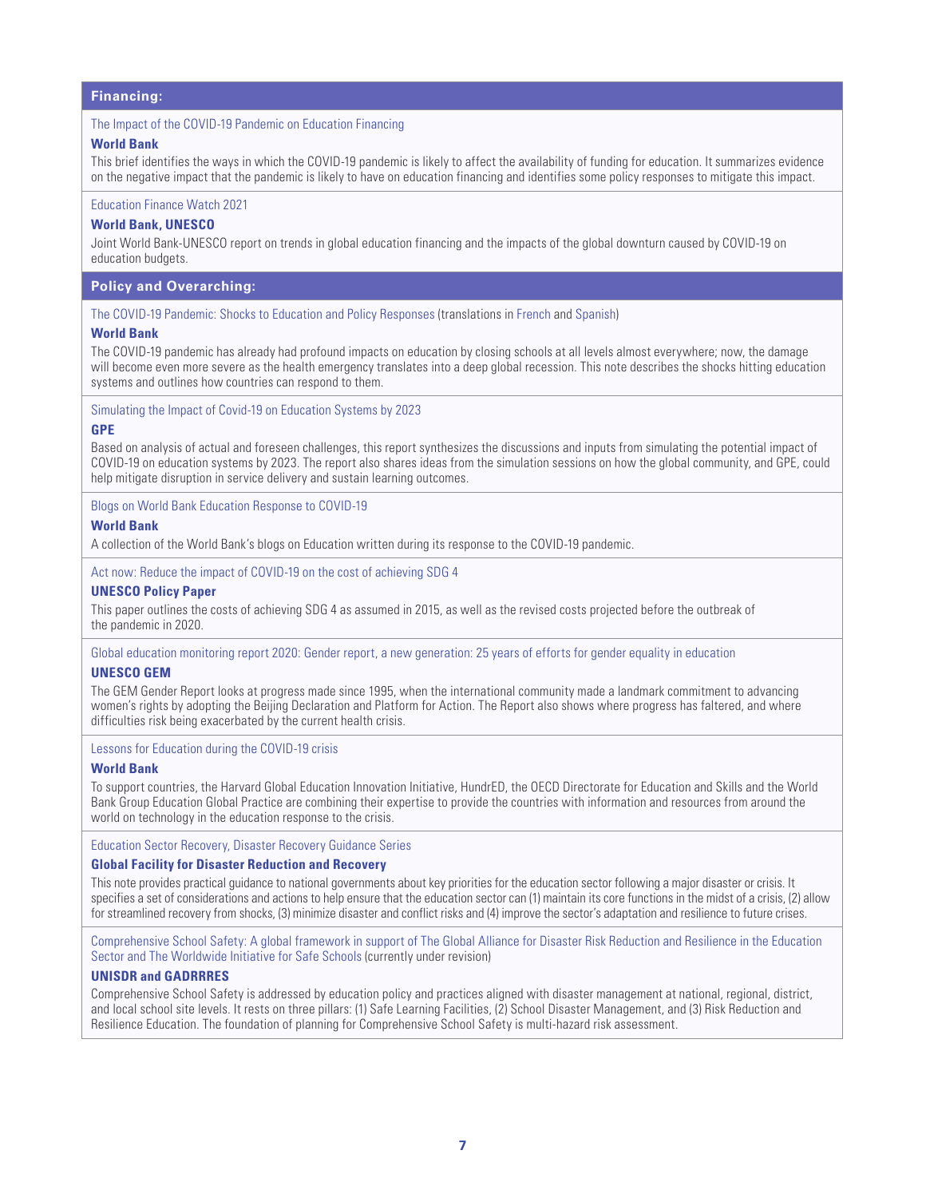#### **Financing:**

#### [The Impact of the COVID-19 Pandemic on Education Financing](http://documents1.worldbank.org/curated/en/479041589318526060/pdf/The-Impact-of-the-COVID-19-Pandemic-on-Education-Financing.pdf)

#### **World Bank**

This brief identifies the ways in which the COVID-19 pandemic is likely to affect the availability of funding for education. It summarizes evidence on the negative impact that the pandemic is likely to have on education financing and identifies some policy responses to mitigate this impact.

#### [Education Finance Watch 2021](http://documents1.worldbank.org/curated/en/479041589318526060/pdf/The-Impact-of-the-COVID-19-Pandemic-on-Education-Financing.pdf)

#### **World Bank, UNESCO**

Joint World Bank-UNESCO report on trends in global education financing and the impacts of the global downturn caused by COVID-19 on education budgets.

#### **Policy and Overarching:**

[The COVID-19 Pandemic: Shocks to Education and Policy Responses](https://openknowledge.worldbank.org/handle/10986/33696) (translations in [French](https://openknowledge.worldbank.org/bitstream/handle/10986/33696/148198FR.pdf?sequence=5&isAllowed=y) and [Spanish](https://openknowledge.worldbank.org/bitstream/handle/10986/33696/148198SP.pdf?sequence=6&isAllowed=y))

#### **World Bank**

The COVID-19 pandemic has already had profound impacts on education by closing schools at all levels almost everywhere; now, the damage will become even more severe as the health emergency translates into a deep global recession. This note describes the shocks hitting education systems and outlines how countries can respond to them.

#### [Simulating the Impact of Covid-19 on Education Systems by 2023](https://www.globalpartnership.org/content/simulating-impact-covid-19-education-systems-2023)

#### **GPE**

Based on analysis of actual and foreseen challenges, this report synthesizes the discussions and inputs from simulating the potential impact of COVID-19 on education systems by 2023. The report also shares ideas from the simulation sessions on how the global community, and GPE, could help mitigate disruption in service delivery and sustain learning outcomes.

[Blogs on World Bank Education Response to COVID-19](https://blogs.worldbank.org/search?keyword=&f%5B0%5D=channel%3A9&f%5B1%5D=language%3Aen&f%5B2%5D=series%3A881)

#### **World Bank**

A collection of the World Bank's blogs on Education written during its response to the COVID-19 pandemic.

[Act now: Reduce the impact of COVID-19 on the cost of achieving SDG 4](https://unesdoc.unesco.org/ark:/48223/pf0000374163)

#### **UNESCO Policy Paper**

This paper outlines the costs of achieving SDG 4 as assumed in 2015, as well as the revised costs projected before the outbreak of the pandemic in 2020.

[Global education monitoring report 2020: Gender report, a new generation: 25 years of efforts for gender equality in education](https://unesdoc.unesco.org/ark:/48223/pf0000374514?posInSet=2&queryId=a13dce0a-1a31-4749-a6c9-a64e8e0df90c) **UNESCO GEM**

The GEM Gender Report looks at progress made since 1995, when the international community made a landmark commitment to advancing women's rights by adopting the Beijing Declaration and Platform for Action. The Report also shows where progress has faltered, and where difficulties risk being exacerbated by the current health crisis.

#### [Lessons for Education during the COVID-19 crisis](https://www.worldbank.org/en/topic/edutech/brief/lessons-for-education-during-covid-19-crisis)

#### **World Bank**

To support countries, the [Harvard Global Education Innovation Initiative,](https://globaled.gse.harvard.edu/education-and-covid-19-pandemic) [HundrED](https://hundred.org/en/collections/quality-education-for-all-during-coronavirus), the OECD Directorate for Education and Skills and the [World](https://www.worldbank.org/en/topic/education)  [Bank Group Education Global Practice](https://www.worldbank.org/en/topic/education) are combining their expertise to provide the countries with information and resources from around the world on technology in the education response to the crisis.

[Education Sector Recovery, Disaster Recovery Guidance Series](https://www.gfdrr.org/en/publication/education-sector-recovery)

#### **Global Facility for Disaster Reduction and Recovery**

This note provides practical guidance to national governments about key priorities for the education sector following a major disaster or crisis. It specifies a set of considerations and actions to help ensure that the education sector can (1) maintain its core functions in the midst of a crisis, (2) allow for streamlined recovery from shocks, (3) minimize disaster and conflict risks and (4) improve the sector's adaptation and resilience to future crises.

[Comprehensive School Safety: A global framework in support of The Global Alliance for Disaster Risk Reduction and Resilience in the Education](https://unicef.sharepoint.com/teams/PD-Education/EiE/A global framework in support of The Global Alliance for Disaster Risk Reduction and Resilience in the Education Sector and The Worldwide Initiative for Safe Schools)  [Sector and The Worldwide Initiative for Safe Schools](https://unicef.sharepoint.com/teams/PD-Education/EiE/A global framework in support of The Global Alliance for Disaster Risk Reduction and Resilience in the Education Sector and The Worldwide Initiative for Safe Schools) (currently under revision)

#### **UNISDR and GADRRRES**

Comprehensive School Safety is addressed by education policy and practices aligned with disaster management at national, regional, district, and local school site levels. It rests on three pillars: (1) Safe Learning Facilities, (2) School Disaster Management, and (3) Risk Reduction and Resilience Education. The foundation of planning for Comprehensive School Safety is multi-hazard risk assessment.